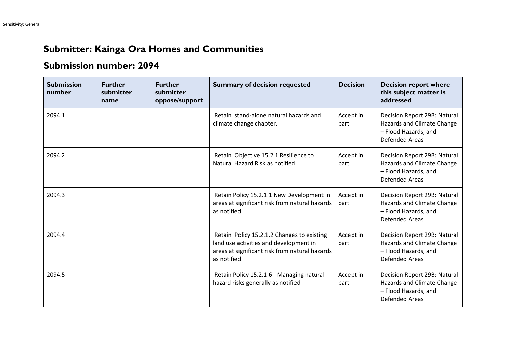## **Submitter: Kainga Ora Homes and Communities**

## **Submission number: 2094**

| <b>Submission</b><br>number | <b>Further</b><br>submitter<br>name | <b>Further</b><br>submitter<br>oppose/support | <b>Summary of decision requested</b>                                                                                                                   | <b>Decision</b>   | <b>Decision report where</b><br>this subject matter is<br>addressed                                         |
|-----------------------------|-------------------------------------|-----------------------------------------------|--------------------------------------------------------------------------------------------------------------------------------------------------------|-------------------|-------------------------------------------------------------------------------------------------------------|
| 2094.1                      |                                     |                                               | Retain stand-alone natural hazards and<br>climate change chapter.                                                                                      | Accept in<br>part | Decision Report 29B: Natural<br>Hazards and Climate Change<br>- Flood Hazards, and<br><b>Defended Areas</b> |
| 2094.2                      |                                     |                                               | Retain Objective 15.2.1 Resilience to<br>Natural Hazard Risk as notified                                                                               | Accept in<br>part | Decision Report 29B: Natural<br>Hazards and Climate Change<br>- Flood Hazards, and<br><b>Defended Areas</b> |
| 2094.3                      |                                     |                                               | Retain Policy 15.2.1.1 New Development in<br>areas at significant risk from natural hazards<br>as notified.                                            | Accept in<br>part | Decision Report 29B: Natural<br>Hazards and Climate Change<br>- Flood Hazards, and<br><b>Defended Areas</b> |
| 2094.4                      |                                     |                                               | Retain Policy 15.2.1.2 Changes to existing<br>land use activities and development in<br>areas at significant risk from natural hazards<br>as notified. | Accept in<br>part | Decision Report 29B: Natural<br>Hazards and Climate Change<br>- Flood Hazards, and<br><b>Defended Areas</b> |
| 2094.5                      |                                     |                                               | Retain Policy 15.2.1.6 - Managing natural<br>hazard risks generally as notified                                                                        | Accept in<br>part | Decision Report 29B: Natural<br>Hazards and Climate Change<br>- Flood Hazards, and<br><b>Defended Areas</b> |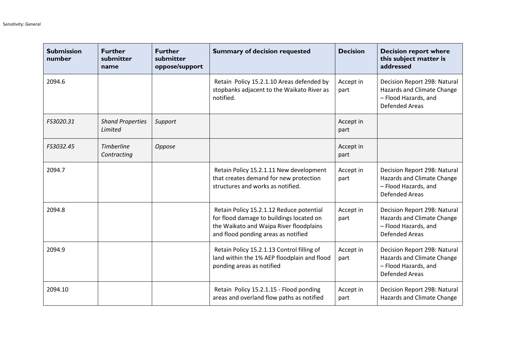| <b>Submission</b><br>number | <b>Further</b><br>submitter<br>name | <b>Further</b><br>submitter<br>oppose/support | <b>Summary of decision requested</b>                                                                                                                                   | <b>Decision</b>   | <b>Decision report where</b><br>this subject matter is<br>addressed                                         |
|-----------------------------|-------------------------------------|-----------------------------------------------|------------------------------------------------------------------------------------------------------------------------------------------------------------------------|-------------------|-------------------------------------------------------------------------------------------------------------|
| 2094.6                      |                                     |                                               | Retain Policy 15.2.1.10 Areas defended by<br>stopbanks adjacent to the Waikato River as<br>notified.                                                                   | Accept in<br>part | Decision Report 29B: Natural<br>Hazards and Climate Change<br>- Flood Hazards, and<br><b>Defended Areas</b> |
| FS3020.31                   | <b>Shand Properties</b><br>Limited  | Support                                       |                                                                                                                                                                        | Accept in<br>part |                                                                                                             |
| FS3032.45                   | <b>Timberline</b><br>Contracting    | Oppose                                        |                                                                                                                                                                        | Accept in<br>part |                                                                                                             |
| 2094.7                      |                                     |                                               | Retain Policy 15.2.1.11 New development<br>that creates demand for new protection<br>structures and works as notified.                                                 | Accept in<br>part | Decision Report 29B: Natural<br>Hazards and Climate Change<br>- Flood Hazards, and<br><b>Defended Areas</b> |
| 2094.8                      |                                     |                                               | Retain Policy 15.2.1.12 Reduce potential<br>for flood damage to buildings located on<br>the Waikato and Waipa River floodplains<br>and flood ponding areas as notified | Accept in<br>part | Decision Report 29B: Natural<br>Hazards and Climate Change<br>- Flood Hazards, and<br><b>Defended Areas</b> |
| 2094.9                      |                                     |                                               | Retain Policy 15.2.1.13 Control filling of<br>land within the 1% AEP floodplain and flood<br>ponding areas as notified                                                 | Accept in<br>part | Decision Report 29B: Natural<br>Hazards and Climate Change<br>- Flood Hazards, and<br><b>Defended Areas</b> |
| 2094.10                     |                                     |                                               | Retain Policy 15.2.1.15 - Flood ponding<br>areas and overland flow paths as notified                                                                                   | Accept in<br>part | Decision Report 29B: Natural<br>Hazards and Climate Change                                                  |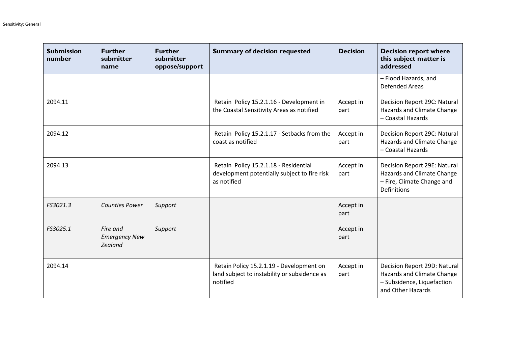| <b>Submission</b><br>number | <b>Further</b><br>submitter<br>name         | <b>Further</b><br>submitter<br>oppose/support | <b>Summary of decision requested</b>                                                                 | <b>Decision</b>   | <b>Decision report where</b><br>this subject matter is<br>addressed                                            |
|-----------------------------|---------------------------------------------|-----------------------------------------------|------------------------------------------------------------------------------------------------------|-------------------|----------------------------------------------------------------------------------------------------------------|
|                             |                                             |                                               |                                                                                                      |                   | - Flood Hazards, and<br><b>Defended Areas</b>                                                                  |
| 2094.11                     |                                             |                                               | Retain Policy 15.2.1.16 - Development in<br>the Coastal Sensitivity Areas as notified                | Accept in<br>part | Decision Report 29C: Natural<br>Hazards and Climate Change<br>- Coastal Hazards                                |
| 2094.12                     |                                             |                                               | Retain Policy 15.2.1.17 - Setbacks from the<br>coast as notified                                     | Accept in<br>part | Decision Report 29C: Natural<br>Hazards and Climate Change<br>- Coastal Hazards                                |
| 2094.13                     |                                             |                                               | Retain Policy 15.2.1.18 - Residential<br>development potentially subject to fire risk<br>as notified | Accept in<br>part | Decision Report 29E: Natural<br>Hazards and Climate Change<br>- Fire, Climate Change and<br><b>Definitions</b> |
| FS3021.3                    | <b>Counties Power</b>                       | Support                                       |                                                                                                      | Accept in<br>part |                                                                                                                |
| FS3025.1                    | Fire and<br><b>Emergency New</b><br>Zealand | Support                                       |                                                                                                      | Accept in<br>part |                                                                                                                |
| 2094.14                     |                                             |                                               | Retain Policy 15.2.1.19 - Development on<br>land subject to instability or subsidence as<br>notified | Accept in<br>part | Decision Report 29D: Natural<br>Hazards and Climate Change<br>- Subsidence, Liquefaction<br>and Other Hazards  |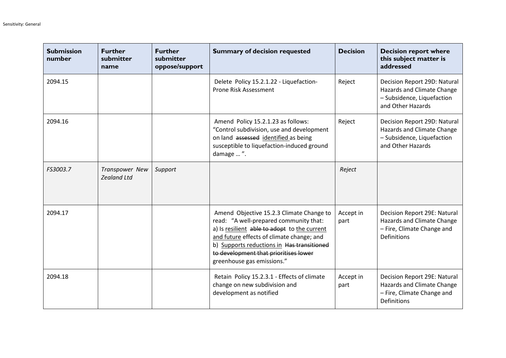| <b>Submission</b><br>number | <b>Further</b><br>submitter<br>name  | <b>Further</b><br>submitter<br>oppose/support | <b>Summary of decision requested</b>                                                                                                                                                                                                                                                                 | <b>Decision</b>   | <b>Decision report where</b><br>this subject matter is<br>addressed                                            |
|-----------------------------|--------------------------------------|-----------------------------------------------|------------------------------------------------------------------------------------------------------------------------------------------------------------------------------------------------------------------------------------------------------------------------------------------------------|-------------------|----------------------------------------------------------------------------------------------------------------|
| 2094.15                     |                                      |                                               | Delete Policy 15.2.1.22 - Liquefaction-<br>Prone Risk Assessment                                                                                                                                                                                                                                     | Reject            | Decision Report 29D: Natural<br>Hazards and Climate Change<br>- Subsidence, Liquefaction<br>and Other Hazards  |
| 2094.16                     |                                      |                                               | Amend Policy 15.2.1.23 as follows:<br>"Control subdivision, use and development<br>on land assessed identified as being<br>susceptible to liquefaction-induced ground<br>damage  ".                                                                                                                  | Reject            | Decision Report 29D: Natural<br>Hazards and Climate Change<br>- Subsidence, Liquefaction<br>and Other Hazards  |
| FS3003.7                    | Transpower New<br><b>Zealand Ltd</b> | Support                                       |                                                                                                                                                                                                                                                                                                      | Reject            |                                                                                                                |
| 2094.17                     |                                      |                                               | Amend Objective 15.2.3 Climate Change to<br>read: "A well-prepared community that:<br>a) Is resilient able to adopt to the current<br>and future effects of climate change; and<br>b) Supports reductions in Has transitioned<br>to development that prioritises lower<br>greenhouse gas emissions." | Accept in<br>part | Decision Report 29E: Natural<br>Hazards and Climate Change<br>- Fire, Climate Change and<br><b>Definitions</b> |
| 2094.18                     |                                      |                                               | Retain Policy 15.2.3.1 - Effects of climate<br>change on new subdivision and<br>development as notified                                                                                                                                                                                              | Accept in<br>part | Decision Report 29E: Natural<br>Hazards and Climate Change<br>- Fire, Climate Change and<br>Definitions        |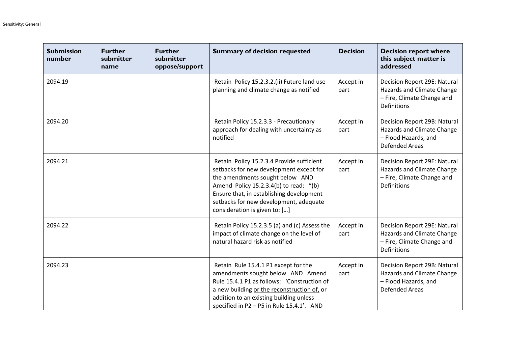| <b>Submission</b><br>number | <b>Further</b><br>submitter<br>name | <b>Further</b><br>submitter<br>oppose/support | <b>Summary of decision requested</b>                                                                                                                                                                                                                                                     | <b>Decision</b>   | <b>Decision report where</b><br>this subject matter is<br>addressed                                            |
|-----------------------------|-------------------------------------|-----------------------------------------------|------------------------------------------------------------------------------------------------------------------------------------------------------------------------------------------------------------------------------------------------------------------------------------------|-------------------|----------------------------------------------------------------------------------------------------------------|
| 2094.19                     |                                     |                                               | Retain Policy 15.2.3.2.(ii) Future land use<br>planning and climate change as notified                                                                                                                                                                                                   | Accept in<br>part | Decision Report 29E: Natural<br>Hazards and Climate Change<br>- Fire, Climate Change and<br><b>Definitions</b> |
| 2094.20                     |                                     |                                               | Retain Policy 15.2.3.3 - Precautionary<br>approach for dealing with uncertainty as<br>notified                                                                                                                                                                                           | Accept in<br>part | Decision Report 29B: Natural<br>Hazards and Climate Change<br>- Flood Hazards, and<br><b>Defended Areas</b>    |
| 2094.21                     |                                     |                                               | Retain Policy 15.2.3.4 Provide sufficient<br>setbacks for new development except for<br>the amendments sought below AND<br>Amend Policy 15.2.3.4(b) to read: "(b)<br>Ensure that, in establishing development<br>setbacks for new development, adequate<br>consideration is given to: [] | Accept in<br>part | Decision Report 29E: Natural<br>Hazards and Climate Change<br>- Fire, Climate Change and<br><b>Definitions</b> |
| 2094.22                     |                                     |                                               | Retain Policy 15.2.3.5 (a) and (c) Assess the<br>impact of climate change on the level of<br>natural hazard risk as notified                                                                                                                                                             | Accept in<br>part | Decision Report 29E: Natural<br>Hazards and Climate Change<br>- Fire, Climate Change and<br><b>Definitions</b> |
| 2094.23                     |                                     |                                               | Retain Rule 15.4.1 P1 except for the<br>amendments sought below AND Amend<br>Rule 15.4.1 P1 as follows: 'Construction of<br>a new building or the reconstruction of, or<br>addition to an existing building unless<br>specified in P2 - P5 in Rule 15.4.1'. AND                          | Accept in<br>part | Decision Report 29B: Natural<br>Hazards and Climate Change<br>- Flood Hazards, and<br><b>Defended Areas</b>    |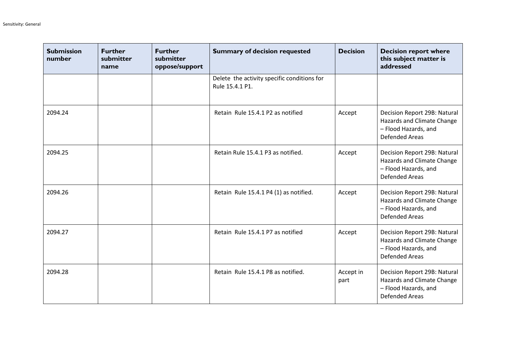| <b>Submission</b><br>number | <b>Further</b><br>submitter<br>name | <b>Further</b><br>submitter<br>oppose/support | <b>Summary of decision requested</b>                           | <b>Decision</b>   | <b>Decision report where</b><br>this subject matter is<br>addressed                                         |
|-----------------------------|-------------------------------------|-----------------------------------------------|----------------------------------------------------------------|-------------------|-------------------------------------------------------------------------------------------------------------|
|                             |                                     |                                               | Delete the activity specific conditions for<br>Rule 15.4.1 P1. |                   |                                                                                                             |
| 2094.24                     |                                     |                                               | Retain Rule 15.4.1 P2 as notified                              | Accept            | Decision Report 29B: Natural<br>Hazards and Climate Change<br>- Flood Hazards, and<br><b>Defended Areas</b> |
| 2094.25                     |                                     |                                               | Retain Rule 15.4.1 P3 as notified.                             | Accept            | Decision Report 29B: Natural<br>Hazards and Climate Change<br>- Flood Hazards, and<br><b>Defended Areas</b> |
| 2094.26                     |                                     |                                               | Retain Rule 15.4.1 P4 (1) as notified.                         | Accept            | Decision Report 29B: Natural<br>Hazards and Climate Change<br>- Flood Hazards, and<br><b>Defended Areas</b> |
| 2094.27                     |                                     |                                               | Retain Rule 15.4.1 P7 as notified                              | Accept            | Decision Report 29B: Natural<br>Hazards and Climate Change<br>- Flood Hazards, and<br><b>Defended Areas</b> |
| 2094.28                     |                                     |                                               | Retain Rule 15.4.1 P8 as notified.                             | Accept in<br>part | Decision Report 29B: Natural<br>Hazards and Climate Change<br>- Flood Hazards, and<br><b>Defended Areas</b> |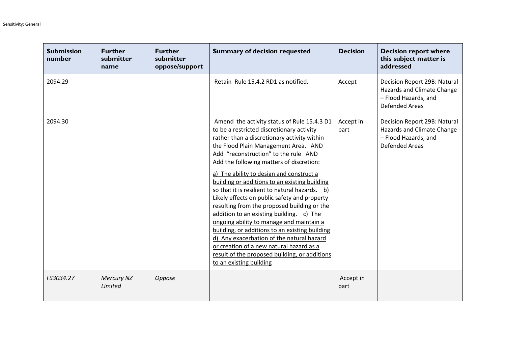| <b>Submission</b><br>number | <b>Further</b><br>submitter<br>name | <b>Further</b><br>submitter<br>oppose/support | <b>Summary of decision requested</b>                                                                                                                                                                                                                                                                                                                                                                                                                                                                                                                                                                                                                                                                                                                                                                                             | <b>Decision</b>   | <b>Decision report where</b><br>this subject matter is<br>addressed                                         |
|-----------------------------|-------------------------------------|-----------------------------------------------|----------------------------------------------------------------------------------------------------------------------------------------------------------------------------------------------------------------------------------------------------------------------------------------------------------------------------------------------------------------------------------------------------------------------------------------------------------------------------------------------------------------------------------------------------------------------------------------------------------------------------------------------------------------------------------------------------------------------------------------------------------------------------------------------------------------------------------|-------------------|-------------------------------------------------------------------------------------------------------------|
| 2094.29                     |                                     |                                               | Retain Rule 15.4.2 RD1 as notified.                                                                                                                                                                                                                                                                                                                                                                                                                                                                                                                                                                                                                                                                                                                                                                                              | Accept            | Decision Report 29B: Natural<br>Hazards and Climate Change<br>- Flood Hazards, and<br><b>Defended Areas</b> |
| 2094.30                     |                                     |                                               | Amend the activity status of Rule 15.4.3 D1<br>to be a restricted discretionary activity<br>rather than a discretionary activity within<br>the Flood Plain Management Area. AND<br>Add "reconstruction" to the rule AND<br>Add the following matters of discretion:<br>a) The ability to design and construct a<br>building or additions to an existing building<br>so that it is resilient to natural hazards. b)<br>Likely effects on public safety and property<br>resulting from the proposed building or the<br>addition to an existing building. c) The<br>ongoing ability to manage and maintain a<br>building, or additions to an existing building<br>d) Any exacerbation of the natural hazard<br>or creation of a new natural hazard as a<br>result of the proposed building, or additions<br>to an existing building | Accept in<br>part | Decision Report 29B: Natural<br>Hazards and Climate Change<br>- Flood Hazards, and<br><b>Defended Areas</b> |
| FS3034.27                   | <b>Mercury NZ</b><br>Limited        | Oppose                                        |                                                                                                                                                                                                                                                                                                                                                                                                                                                                                                                                                                                                                                                                                                                                                                                                                                  | Accept in<br>part |                                                                                                             |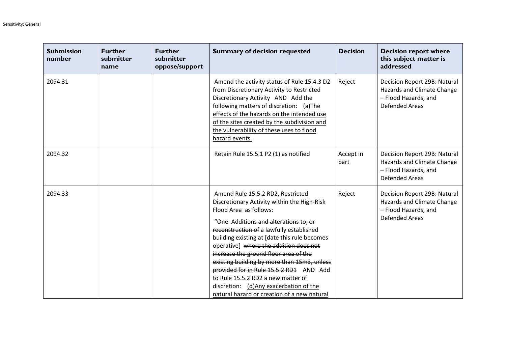| <b>Submission</b><br>number | <b>Further</b><br>submitter<br>name | <b>Further</b><br>submitter<br>oppose/support | <b>Summary of decision requested</b>                                                                                                                                                                                                                                                                                                                                                                                                                                                                                                                        | <b>Decision</b>   | <b>Decision report where</b><br>this subject matter is<br>addressed                                         |
|-----------------------------|-------------------------------------|-----------------------------------------------|-------------------------------------------------------------------------------------------------------------------------------------------------------------------------------------------------------------------------------------------------------------------------------------------------------------------------------------------------------------------------------------------------------------------------------------------------------------------------------------------------------------------------------------------------------------|-------------------|-------------------------------------------------------------------------------------------------------------|
| 2094.31                     |                                     |                                               | Amend the activity status of Rule 15.4.3 D2<br>from Discretionary Activity to Restricted<br>Discretionary Activity AND Add the<br>following matters of discretion: (a)The<br>effects of the hazards on the intended use<br>of the sites created by the subdivision and<br>the vulnerability of these uses to flood<br>hazard events.                                                                                                                                                                                                                        | Reject            | Decision Report 29B: Natural<br>Hazards and Climate Change<br>- Flood Hazards, and<br>Defended Areas        |
| 2094.32                     |                                     |                                               | Retain Rule 15.5.1 P2 (1) as notified                                                                                                                                                                                                                                                                                                                                                                                                                                                                                                                       | Accept in<br>part | Decision Report 29B: Natural<br>Hazards and Climate Change<br>- Flood Hazards, and<br><b>Defended Areas</b> |
| 2094.33                     |                                     |                                               | Amend Rule 15.5.2 RD2, Restricted<br>Discretionary Activity within the High-Risk<br>Flood Area as follows:<br>"One Additions and alterations to, or<br>reconstruction of a lawfully established<br>building existing at [date this rule becomes<br>operative] where the addition does not<br>increase the ground floor area of the<br>existing building by more than 15m3, unless<br>provided for in Rule 15.5.2 RD1 AND Add<br>to Rule 15.5.2 RD2 a new matter of<br>discretion: (d)Any exacerbation of the<br>natural hazard or creation of a new natural | Reject            | Decision Report 29B: Natural<br>Hazards and Climate Change<br>- Flood Hazards, and<br><b>Defended Areas</b> |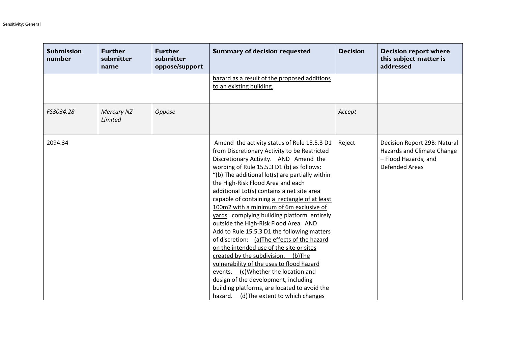| <b>Submission</b><br>number | <b>Further</b><br>submitter<br>name | <b>Further</b><br>submitter<br>oppose/support | <b>Summary of decision requested</b>                                                                                                                                                                                                                                                                                                                                                                                                                                                                                                                                                                                                                                                                                                                                                                                                                                                                                | <b>Decision</b> | <b>Decision report where</b><br>this subject matter is<br>addressed                                         |
|-----------------------------|-------------------------------------|-----------------------------------------------|---------------------------------------------------------------------------------------------------------------------------------------------------------------------------------------------------------------------------------------------------------------------------------------------------------------------------------------------------------------------------------------------------------------------------------------------------------------------------------------------------------------------------------------------------------------------------------------------------------------------------------------------------------------------------------------------------------------------------------------------------------------------------------------------------------------------------------------------------------------------------------------------------------------------|-----------------|-------------------------------------------------------------------------------------------------------------|
|                             |                                     |                                               | hazard as a result of the proposed additions<br>to an existing building.                                                                                                                                                                                                                                                                                                                                                                                                                                                                                                                                                                                                                                                                                                                                                                                                                                            |                 |                                                                                                             |
| FS3034.28                   | <b>Mercury NZ</b><br>Limited        | Oppose                                        |                                                                                                                                                                                                                                                                                                                                                                                                                                                                                                                                                                                                                                                                                                                                                                                                                                                                                                                     | Accept          |                                                                                                             |
| 2094.34                     |                                     |                                               | Amend the activity status of Rule 15.5.3 D1<br>from Discretionary Activity to be Restricted<br>Discretionary Activity. AND Amend the<br>wording of Rule 15.5.3 D1 (b) as follows:<br>"(b) The additional lot(s) are partially within<br>the High-Risk Flood Area and each<br>additional Lot(s) contains a net site area<br>capable of containing a rectangle of at least<br>100m2 with a minimum of 6m exclusive of<br>yards complying building platform entirely<br>outside the High-Risk Flood Area AND<br>Add to Rule 15.5.3 D1 the following matters<br>of discretion: (a)The effects of the hazard<br>on the intended use of the site or sites<br>created by the subdivision.<br>(b)The<br>vulnerability of the uses to flood hazard<br>events. (c)Whether the location and<br>design of the development, including<br>building platforms, are located to avoid the<br>hazard. (d) The extent to which changes | Reject          | Decision Report 29B: Natural<br>Hazards and Climate Change<br>- Flood Hazards, and<br><b>Defended Areas</b> |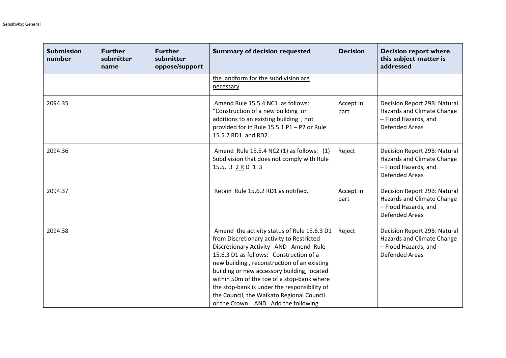| <b>Submission</b><br>number | <b>Further</b><br>submitter<br>name | <b>Further</b><br>submitter<br>oppose/support | <b>Summary of decision requested</b>                                                                                                                                                                                                                                                                                                                                                                                                                         | <b>Decision</b>   | <b>Decision report where</b><br>this subject matter is<br>addressed                                         |
|-----------------------------|-------------------------------------|-----------------------------------------------|--------------------------------------------------------------------------------------------------------------------------------------------------------------------------------------------------------------------------------------------------------------------------------------------------------------------------------------------------------------------------------------------------------------------------------------------------------------|-------------------|-------------------------------------------------------------------------------------------------------------|
|                             |                                     |                                               | the landform for the subdivision are<br>necessary                                                                                                                                                                                                                                                                                                                                                                                                            |                   |                                                                                                             |
| 2094.35                     |                                     |                                               | Amend Rule 15.5.4 NC1 as follows:<br>"Construction of a new building of<br>additions to an existing building, not<br>provided for in Rule 15.5.1 P1 - P2 or Rule<br>15.5.2 RD1 and RD2.                                                                                                                                                                                                                                                                      | Accept in<br>part | Decision Report 29B: Natural<br>Hazards and Climate Change<br>- Flood Hazards, and<br><b>Defended Areas</b> |
| 2094.36                     |                                     |                                               | Amend Rule 15.5.4 NC2 (1) as follows: (1)<br>Subdivision that does not comply with Rule<br>15.5. $3 2 R D 1 3 $                                                                                                                                                                                                                                                                                                                                              | Reject            | Decision Report 29B: Natural<br>Hazards and Climate Change<br>- Flood Hazards, and<br><b>Defended Areas</b> |
| 2094.37                     |                                     |                                               | Retain Rule 15.6.2 RD1 as notified.                                                                                                                                                                                                                                                                                                                                                                                                                          | Accept in<br>part | Decision Report 29B: Natural<br>Hazards and Climate Change<br>- Flood Hazards, and<br><b>Defended Areas</b> |
| 2094.38                     |                                     |                                               | Amend the activity status of Rule 15.6.3 D1<br>from Discretionary activity to Restricted<br>Discretionary Activity AND Amend Rule<br>15.6.3 D1 as follows: Construction of a<br>new building, reconstruction of an existing<br>building or new accessory building, located<br>within 50m of the toe of a stop-bank where<br>the stop-bank is under the responsibility of<br>the Council, the Waikato Regional Council<br>or the Crown. AND Add the following | Reject            | Decision Report 29B: Natural<br>Hazards and Climate Change<br>- Flood Hazards, and<br><b>Defended Areas</b> |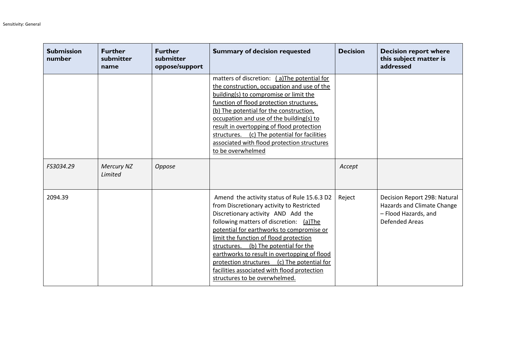| <b>Submission</b><br>number | <b>Further</b><br>submitter<br>name | <b>Further</b><br>submitter<br>oppose/support | <b>Summary of decision requested</b>                                                                                                                                                                                                                                                                                                                                                                                                                                                        | <b>Decision</b> | <b>Decision report where</b><br>this subject matter is<br>addressed                                         |
|-----------------------------|-------------------------------------|-----------------------------------------------|---------------------------------------------------------------------------------------------------------------------------------------------------------------------------------------------------------------------------------------------------------------------------------------------------------------------------------------------------------------------------------------------------------------------------------------------------------------------------------------------|-----------------|-------------------------------------------------------------------------------------------------------------|
|                             |                                     |                                               | matters of discretion: (a)The potential for<br>the construction, occupation and use of the<br>building(s) to compromise or limit the<br>function of flood protection structures.<br>(b) The potential for the construction,<br>occupation and use of the building(s) to<br>result in overtopping of flood protection<br>(c) The potential for facilities<br>structures.<br>associated with flood protection structures<br>to be overwhelmed                                                 |                 |                                                                                                             |
| FS3034.29                   | Mercury NZ<br>Limited               | Oppose                                        |                                                                                                                                                                                                                                                                                                                                                                                                                                                                                             | Accept          |                                                                                                             |
| 2094.39                     |                                     |                                               | Amend the activity status of Rule 15.6.3 D2<br>from Discretionary activity to Restricted<br>Discretionary activity AND Add the<br>following matters of discretion: (a)The<br>potential for earthworks to compromise or<br>limit the function of flood protection<br>structures. (b) The potential for the<br>earthworks to result in overtopping of flood<br>(c) The potential for<br>protection structures<br>facilities associated with flood protection<br>structures to be overwhelmed. | Reject          | Decision Report 29B: Natural<br>Hazards and Climate Change<br>- Flood Hazards, and<br><b>Defended Areas</b> |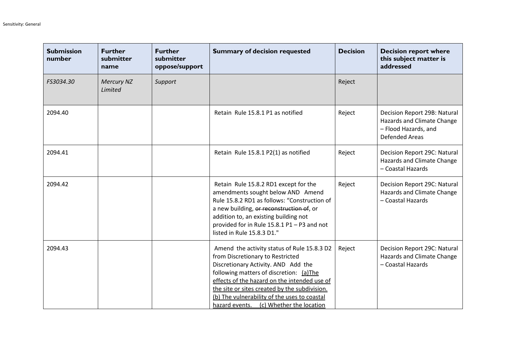| <b>Submission</b><br>number | <b>Further</b><br>submitter<br>name | <b>Further</b><br>submitter<br>oppose/support | <b>Summary of decision requested</b>                                                                                                                                                                                                                                                                                                                          | <b>Decision</b> | <b>Decision report where</b><br>this subject matter is<br>addressed                                         |
|-----------------------------|-------------------------------------|-----------------------------------------------|---------------------------------------------------------------------------------------------------------------------------------------------------------------------------------------------------------------------------------------------------------------------------------------------------------------------------------------------------------------|-----------------|-------------------------------------------------------------------------------------------------------------|
| FS3034.30                   | <b>Mercury NZ</b><br>Limited        | Support                                       |                                                                                                                                                                                                                                                                                                                                                               | Reject          |                                                                                                             |
| 2094.40                     |                                     |                                               | Retain Rule 15.8.1 P1 as notified                                                                                                                                                                                                                                                                                                                             | Reject          | Decision Report 29B: Natural<br>Hazards and Climate Change<br>- Flood Hazards, and<br><b>Defended Areas</b> |
| 2094.41                     |                                     |                                               | Retain Rule 15.8.1 P2(1) as notified                                                                                                                                                                                                                                                                                                                          | Reject          | Decision Report 29C: Natural<br>Hazards and Climate Change<br>- Coastal Hazards                             |
| 2094.42                     |                                     |                                               | Retain Rule 15.8.2 RD1 except for the<br>amendments sought below AND Amend<br>Rule 15.8.2 RD1 as follows: "Construction of<br>a new building, or reconstruction of, or<br>addition to, an existing building not<br>provided for in Rule 15.8.1 P1 - P3 and not<br>listed in Rule 15.8.3 D1."                                                                  | Reject          | Decision Report 29C: Natural<br>Hazards and Climate Change<br>- Coastal Hazards                             |
| 2094.43                     |                                     |                                               | Amend the activity status of Rule 15.8.3 D2<br>from Discretionary to Restricted<br>Discretionary Activity. AND Add the<br>following matters of discretion: (a)The<br>effects of the hazard on the intended use of<br>the site or sites created by the subdivision.<br>(b) The vulnerability of the uses to coastal<br>hazard events. (c) Whether the location | Reject          | Decision Report 29C: Natural<br>Hazards and Climate Change<br>- Coastal Hazards                             |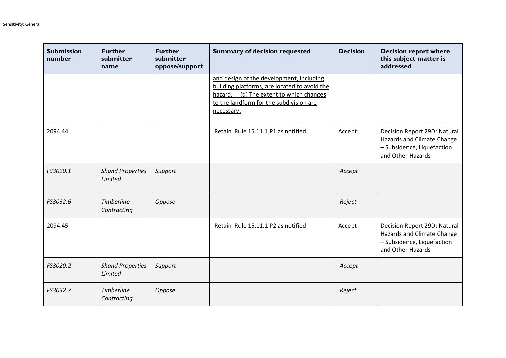| <b>Submission</b><br>number | <b>Further</b><br>submitter<br>name | <b>Further</b><br>submitter<br>oppose/support | <b>Summary of decision requested</b>                                                                                                                                                            | <b>Decision</b> | <b>Decision report where</b><br>this subject matter is<br>addressed                                           |
|-----------------------------|-------------------------------------|-----------------------------------------------|-------------------------------------------------------------------------------------------------------------------------------------------------------------------------------------------------|-----------------|---------------------------------------------------------------------------------------------------------------|
|                             |                                     |                                               | and design of the development, including<br>building platforms, are located to avoid the<br>(d) The extent to which changes<br>hazard.<br>to the landform for the subdivision are<br>necessary. |                 |                                                                                                               |
| 2094.44                     |                                     |                                               | Retain Rule 15.11.1 P1 as notified                                                                                                                                                              | Accept          | Decision Report 29D: Natural<br>Hazards and Climate Change<br>- Subsidence, Liquefaction<br>and Other Hazards |
| FS3020.1                    | <b>Shand Properties</b><br>Limited  | Support                                       |                                                                                                                                                                                                 | Accept          |                                                                                                               |
| FS3032.6                    | <b>Timberline</b><br>Contracting    | Oppose                                        |                                                                                                                                                                                                 | Reject          |                                                                                                               |
| 2094.45                     |                                     |                                               | Retain Rule 15.11.1 P2 as notified                                                                                                                                                              | Accept          | Decision Report 29D: Natural<br>Hazards and Climate Change<br>- Subsidence, Liquefaction<br>and Other Hazards |
| FS3020.2                    | <b>Shand Properties</b><br>Limited  | Support                                       |                                                                                                                                                                                                 | Accept          |                                                                                                               |
| FS3032.7                    | <b>Timberline</b><br>Contracting    | Oppose                                        |                                                                                                                                                                                                 | Reject          |                                                                                                               |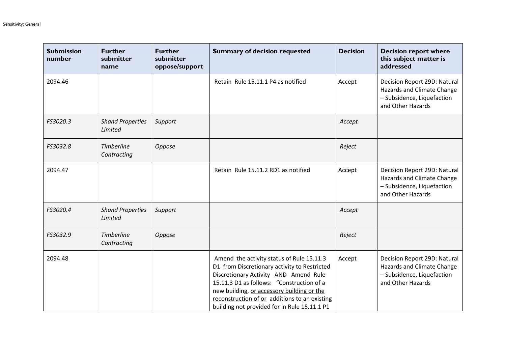| <b>Submission</b><br>number | <b>Further</b><br>submitter<br>name | <b>Further</b><br>submitter<br>oppose/support | <b>Summary of decision requested</b>                                                                                                                                                                                                                                                                                           | <b>Decision</b> | <b>Decision report where</b><br>this subject matter is<br>addressed                                           |
|-----------------------------|-------------------------------------|-----------------------------------------------|--------------------------------------------------------------------------------------------------------------------------------------------------------------------------------------------------------------------------------------------------------------------------------------------------------------------------------|-----------------|---------------------------------------------------------------------------------------------------------------|
| 2094.46                     |                                     |                                               | Retain Rule 15.11.1 P4 as notified                                                                                                                                                                                                                                                                                             | Accept          | Decision Report 29D: Natural<br>Hazards and Climate Change<br>- Subsidence, Liquefaction<br>and Other Hazards |
| FS3020.3                    | <b>Shand Properties</b><br>Limited  | Support                                       |                                                                                                                                                                                                                                                                                                                                | Accept          |                                                                                                               |
| FS3032.8                    | <b>Timberline</b><br>Contracting    | Oppose                                        |                                                                                                                                                                                                                                                                                                                                | Reject          |                                                                                                               |
| 2094.47                     |                                     |                                               | Retain Rule 15.11.2 RD1 as notified                                                                                                                                                                                                                                                                                            | Accept          | Decision Report 29D: Natural<br>Hazards and Climate Change<br>- Subsidence, Liquefaction<br>and Other Hazards |
| FS3020.4                    | <b>Shand Properties</b><br>Limited  | Support                                       |                                                                                                                                                                                                                                                                                                                                | Accept          |                                                                                                               |
| FS3032.9                    | <b>Timberline</b><br>Contracting    | Oppose                                        |                                                                                                                                                                                                                                                                                                                                | Reject          |                                                                                                               |
| 2094.48                     |                                     |                                               | Amend the activity status of Rule 15.11.3<br>D1 from Discretionary activity to Restricted<br>Discretionary Activity AND Amend Rule<br>15.11.3 D1 as follows: "Construction of a<br>new building, or accessory building or the<br>reconstruction of or additions to an existing<br>building not provided for in Rule 15.11.1 P1 | Accept          | Decision Report 29D: Natural<br>Hazards and Climate Change<br>- Subsidence, Liquefaction<br>and Other Hazards |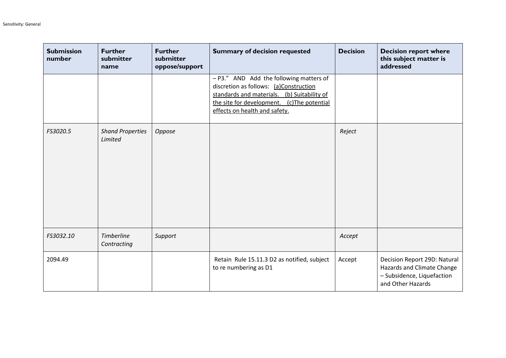| <b>Submission</b><br>number | <b>Further</b><br>submitter<br>name | <b>Further</b><br>submitter<br>oppose/support | <b>Summary of decision requested</b>                                                                                                                                                                               | <b>Decision</b> | <b>Decision report where</b><br>this subject matter is<br>addressed                                           |
|-----------------------------|-------------------------------------|-----------------------------------------------|--------------------------------------------------------------------------------------------------------------------------------------------------------------------------------------------------------------------|-----------------|---------------------------------------------------------------------------------------------------------------|
|                             |                                     |                                               | - P3." AND Add the following matters of<br>discretion as follows: (a)Construction<br>standards and materials. (b) Suitability of<br>the site for development.<br>(c)The potential<br>effects on health and safety. |                 |                                                                                                               |
| FS3020.5                    | <b>Shand Properties</b><br>Limited  | Oppose                                        |                                                                                                                                                                                                                    | Reject          |                                                                                                               |
| FS3032.10                   | <b>Timberline</b><br>Contracting    | Support                                       |                                                                                                                                                                                                                    | Accept          |                                                                                                               |
| 2094.49                     |                                     |                                               | Retain Rule 15.11.3 D2 as notified, subject<br>to re numbering as D1                                                                                                                                               | Accept          | Decision Report 29D: Natural<br>Hazards and Climate Change<br>- Subsidence, Liquefaction<br>and Other Hazards |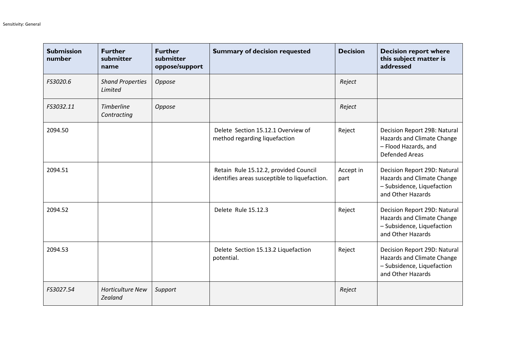| <b>Submission</b><br>number | <b>Further</b><br>submitter<br>name | <b>Further</b><br>submitter<br>oppose/support | <b>Summary of decision requested</b>                                                   | <b>Decision</b>   | <b>Decision report where</b><br>this subject matter is<br>addressed                                           |
|-----------------------------|-------------------------------------|-----------------------------------------------|----------------------------------------------------------------------------------------|-------------------|---------------------------------------------------------------------------------------------------------------|
| FS3020.6                    | <b>Shand Properties</b><br>Limited  | Oppose                                        |                                                                                        | Reject            |                                                                                                               |
| FS3032.11                   | <b>Timberline</b><br>Contracting    | Oppose                                        |                                                                                        | Reject            |                                                                                                               |
| 2094.50                     |                                     |                                               | Delete Section 15.12.1 Overview of<br>method regarding liquefaction                    | Reject            | Decision Report 29B: Natural<br>Hazards and Climate Change<br>- Flood Hazards, and<br><b>Defended Areas</b>   |
| 2094.51                     |                                     |                                               | Retain Rule 15.12.2, provided Council<br>identifies areas susceptible to liquefaction. | Accept in<br>part | Decision Report 29D: Natural<br>Hazards and Climate Change<br>- Subsidence, Liquefaction<br>and Other Hazards |
| 2094.52                     |                                     |                                               | Delete Rule 15.12.3                                                                    | Reject            | Decision Report 29D: Natural<br>Hazards and Climate Change<br>- Subsidence, Liquefaction<br>and Other Hazards |
| 2094.53                     |                                     |                                               | Delete Section 15.13.2 Liquefaction<br>potential.                                      | Reject            | Decision Report 29D: Natural<br>Hazards and Climate Change<br>- Subsidence, Liquefaction<br>and Other Hazards |
| FS3027.54                   | <b>Horticulture New</b><br>Zealand  | Support                                       |                                                                                        | Reject            |                                                                                                               |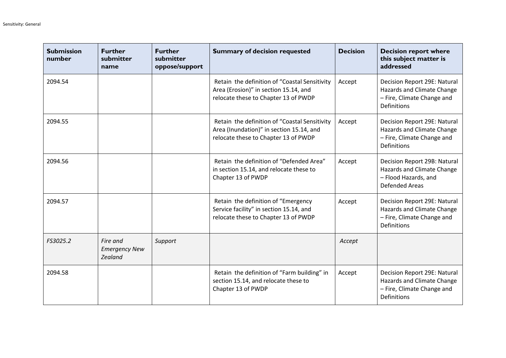| <b>Submission</b><br>number | <b>Further</b><br>submitter<br>name         | <b>Further</b><br>submitter<br>oppose/support | <b>Summary of decision requested</b>                                                                                              | <b>Decision</b> | <b>Decision report where</b><br>this subject matter is<br>addressed                                            |
|-----------------------------|---------------------------------------------|-----------------------------------------------|-----------------------------------------------------------------------------------------------------------------------------------|-----------------|----------------------------------------------------------------------------------------------------------------|
| 2094.54                     |                                             |                                               | Retain the definition of "Coastal Sensitivity<br>Area (Erosion)" in section 15.14, and<br>relocate these to Chapter 13 of PWDP    | Accept          | Decision Report 29E: Natural<br>Hazards and Climate Change<br>- Fire, Climate Change and<br><b>Definitions</b> |
| 2094.55                     |                                             |                                               | Retain the definition of "Coastal Sensitivity<br>Area (Inundation)" in section 15.14, and<br>relocate these to Chapter 13 of PWDP | Accept          | Decision Report 29E: Natural<br>Hazards and Climate Change<br>- Fire, Climate Change and<br><b>Definitions</b> |
| 2094.56                     |                                             |                                               | Retain the definition of "Defended Area"<br>in section 15.14, and relocate these to<br>Chapter 13 of PWDP                         | Accept          | Decision Report 29B: Natural<br>Hazards and Climate Change<br>- Flood Hazards, and<br><b>Defended Areas</b>    |
| 2094.57                     |                                             |                                               | Retain the definition of "Emergency<br>Service facility" in section 15.14, and<br>relocate these to Chapter 13 of PWDP            | Accept          | Decision Report 29E: Natural<br>Hazards and Climate Change<br>- Fire, Climate Change and<br>Definitions        |
| FS3025.2                    | Fire and<br><b>Emergency New</b><br>Zealand | Support                                       |                                                                                                                                   | Accept          |                                                                                                                |
| 2094.58                     |                                             |                                               | Retain the definition of "Farm building" in<br>section 15.14, and relocate these to<br>Chapter 13 of PWDP                         | Accept          | Decision Report 29E: Natural<br>Hazards and Climate Change<br>- Fire, Climate Change and<br>Definitions        |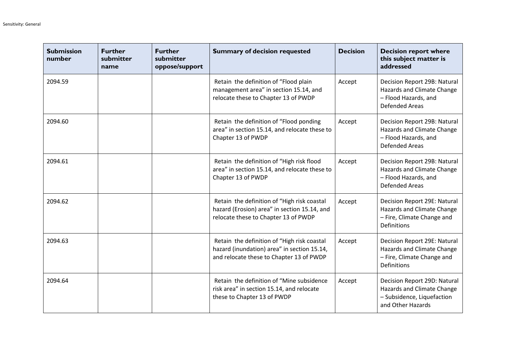| <b>Submission</b><br>number | <b>Further</b><br>submitter<br>name | <b>Further</b><br>submitter<br>oppose/support | <b>Summary of decision requested</b>                                                                                                   | <b>Decision</b> | <b>Decision report where</b><br>this subject matter is<br>addressed                                            |
|-----------------------------|-------------------------------------|-----------------------------------------------|----------------------------------------------------------------------------------------------------------------------------------------|-----------------|----------------------------------------------------------------------------------------------------------------|
| 2094.59                     |                                     |                                               | Retain the definition of "Flood plain<br>management area" in section 15.14, and<br>relocate these to Chapter 13 of PWDP                | Accept          | Decision Report 29B: Natural<br>Hazards and Climate Change<br>- Flood Hazards, and<br><b>Defended Areas</b>    |
| 2094.60                     |                                     |                                               | Retain the definition of "Flood ponding<br>area" in section 15.14, and relocate these to<br>Chapter 13 of PWDP                         | Accept          | Decision Report 29B: Natural<br>Hazards and Climate Change<br>- Flood Hazards, and<br><b>Defended Areas</b>    |
| 2094.61                     |                                     |                                               | Retain the definition of "High risk flood<br>area" in section 15.14, and relocate these to<br>Chapter 13 of PWDP                       | Accept          | Decision Report 29B: Natural<br>Hazards and Climate Change<br>- Flood Hazards, and<br><b>Defended Areas</b>    |
| 2094.62                     |                                     |                                               | Retain the definition of "High risk coastal<br>hazard (Erosion) area" in section 15.14, and<br>relocate these to Chapter 13 of PWDP    | Accept          | Decision Report 29E: Natural<br>Hazards and Climate Change<br>- Fire, Climate Change and<br><b>Definitions</b> |
| 2094.63                     |                                     |                                               | Retain the definition of "High risk coastal<br>hazard (inundation) area" in section 15.14,<br>and relocate these to Chapter 13 of PWDP | Accept          | Decision Report 29E: Natural<br>Hazards and Climate Change<br>- Fire, Climate Change and<br><b>Definitions</b> |
| 2094.64                     |                                     |                                               | Retain the definition of "Mine subsidence<br>risk area" in section 15.14, and relocate<br>these to Chapter 13 of PWDP                  | Accept          | Decision Report 29D: Natural<br>Hazards and Climate Change<br>- Subsidence, Liquefaction<br>and Other Hazards  |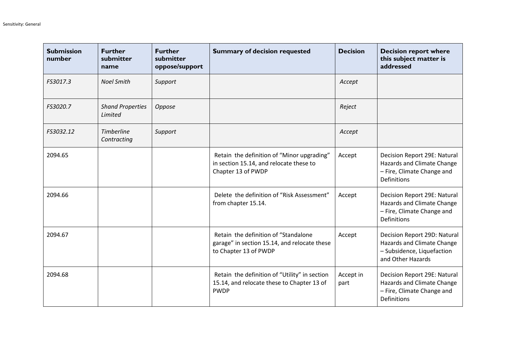| <b>Submission</b><br>number | <b>Further</b><br>submitter<br>name | <b>Further</b><br>submitter<br>oppose/support | <b>Summary of decision requested</b>                                                                          | <b>Decision</b>   | <b>Decision report where</b><br>this subject matter is<br>addressed                                            |
|-----------------------------|-------------------------------------|-----------------------------------------------|---------------------------------------------------------------------------------------------------------------|-------------------|----------------------------------------------------------------------------------------------------------------|
| FS3017.3                    | <b>Noel Smith</b>                   | Support                                       |                                                                                                               | Accept            |                                                                                                                |
| FS3020.7                    | <b>Shand Properties</b><br>Limited  | Oppose                                        |                                                                                                               | Reject            |                                                                                                                |
| FS3032.12                   | <b>Timberline</b><br>Contracting    | Support                                       |                                                                                                               | Accept            |                                                                                                                |
| 2094.65                     |                                     |                                               | Retain the definition of "Minor upgrading"<br>in section 15.14, and relocate these to<br>Chapter 13 of PWDP   | Accept            | Decision Report 29E: Natural<br>Hazards and Climate Change<br>- Fire, Climate Change and<br><b>Definitions</b> |
| 2094.66                     |                                     |                                               | Delete the definition of "Risk Assessment"<br>from chapter 15.14.                                             | Accept            | Decision Report 29E: Natural<br>Hazards and Climate Change<br>- Fire, Climate Change and<br><b>Definitions</b> |
| 2094.67                     |                                     |                                               | Retain the definition of "Standalone<br>garage" in section 15.14, and relocate these<br>to Chapter 13 of PWDP | Accept            | Decision Report 29D: Natural<br>Hazards and Climate Change<br>- Subsidence, Liquefaction<br>and Other Hazards  |
| 2094.68                     |                                     |                                               | Retain the definition of "Utility" in section<br>15.14, and relocate these to Chapter 13 of<br><b>PWDP</b>    | Accept in<br>part | Decision Report 29E: Natural<br>Hazards and Climate Change<br>- Fire, Climate Change and<br><b>Definitions</b> |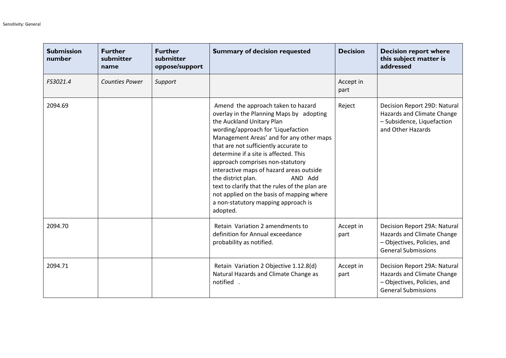| <b>Submission</b><br>number | <b>Further</b><br>submitter<br>name | <b>Further</b><br>submitter<br>oppose/support | <b>Summary of decision requested</b>                                                                                                                                                                                                                                                                                                                                                                                                                                                                                                               | <b>Decision</b>   | <b>Decision report where</b><br>this subject matter is<br>addressed                                                     |
|-----------------------------|-------------------------------------|-----------------------------------------------|----------------------------------------------------------------------------------------------------------------------------------------------------------------------------------------------------------------------------------------------------------------------------------------------------------------------------------------------------------------------------------------------------------------------------------------------------------------------------------------------------------------------------------------------------|-------------------|-------------------------------------------------------------------------------------------------------------------------|
| FS3021.4                    | <b>Counties Power</b>               | Support                                       |                                                                                                                                                                                                                                                                                                                                                                                                                                                                                                                                                    | Accept in<br>part |                                                                                                                         |
| 2094.69                     |                                     |                                               | Amend the approach taken to hazard<br>overlay in the Planning Maps by adopting<br>the Auckland Unitary Plan<br>wording/approach for 'Liquefaction<br>Management Areas' and for any other maps<br>that are not sufficiently accurate to<br>determine if a site is affected. This<br>approach comprises non-statutory<br>interactive maps of hazard areas outside<br>the district plan.<br>AND Add<br>text to clarify that the rules of the plan are<br>not applied on the basis of mapping where<br>a non-statutory mapping approach is<br>adopted. | Reject            | Decision Report 29D: Natural<br>Hazards and Climate Change<br>- Subsidence, Liquefaction<br>and Other Hazards           |
| 2094.70                     |                                     |                                               | Retain Variation 2 amendments to<br>definition for Annual exceedance<br>probability as notified.                                                                                                                                                                                                                                                                                                                                                                                                                                                   | Accept in<br>part | Decision Report 29A: Natural<br>Hazards and Climate Change<br>- Objectives, Policies, and<br><b>General Submissions</b> |
| 2094.71                     |                                     |                                               | Retain Variation 2 Objective 1.12.8(d)<br>Natural Hazards and Climate Change as<br>notified.                                                                                                                                                                                                                                                                                                                                                                                                                                                       | Accept in<br>part | Decision Report 29A: Natural<br>Hazards and Climate Change<br>- Objectives, Policies, and<br><b>General Submissions</b> |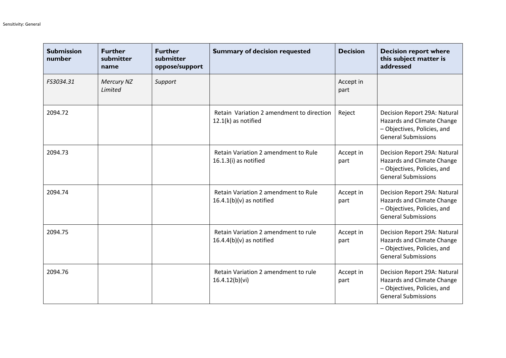| <b>Submission</b><br>number | <b>Further</b><br>submitter<br>name | <b>Further</b><br>submitter<br>oppose/support | <b>Summary of decision requested</b>                               | <b>Decision</b>   | <b>Decision report where</b><br>this subject matter is<br>addressed                                                     |
|-----------------------------|-------------------------------------|-----------------------------------------------|--------------------------------------------------------------------|-------------------|-------------------------------------------------------------------------------------------------------------------------|
| FS3034.31                   | Mercury NZ<br>Limited               | Support                                       |                                                                    | Accept in<br>part |                                                                                                                         |
| 2094.72                     |                                     |                                               | Retain Variation 2 amendment to direction<br>$12.1(k)$ as notified | Reject            | Decision Report 29A: Natural<br>Hazards and Climate Change<br>- Objectives, Policies, and<br><b>General Submissions</b> |
| 2094.73                     |                                     |                                               | Retain Variation 2 amendment to Rule<br>$16.1.3(i)$ as notified    | Accept in<br>part | Decision Report 29A: Natural<br>Hazards and Climate Change<br>- Objectives, Policies, and<br><b>General Submissions</b> |
| 2094.74                     |                                     |                                               | Retain Variation 2 amendment to Rule<br>$16.4.1(b)(v)$ as notified | Accept in<br>part | Decision Report 29A: Natural<br>Hazards and Climate Change<br>- Objectives, Policies, and<br><b>General Submissions</b> |
| 2094.75                     |                                     |                                               | Retain Variation 2 amendment to rule<br>$16.4.4(b)(v)$ as notified | Accept in<br>part | Decision Report 29A: Natural<br>Hazards and Climate Change<br>- Objectives, Policies, and<br><b>General Submissions</b> |
| 2094.76                     |                                     |                                               | Retain Variation 2 amendment to rule<br>16.4.12(b)(vi)             | Accept in<br>part | Decision Report 29A: Natural<br>Hazards and Climate Change<br>- Objectives, Policies, and<br><b>General Submissions</b> |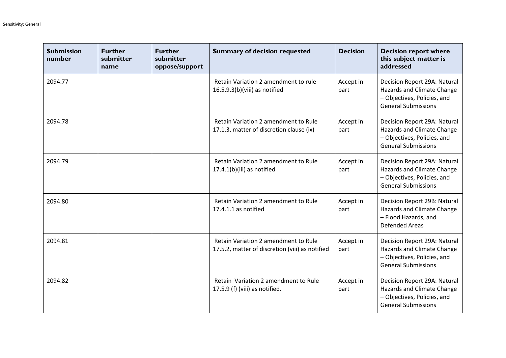| <b>Submission</b><br>number | <b>Further</b><br>submitter<br>name | <b>Further</b><br>submitter<br>oppose/support | <b>Summary of decision requested</b>                                                    | <b>Decision</b>   | <b>Decision report where</b><br>this subject matter is<br>addressed                                                     |
|-----------------------------|-------------------------------------|-----------------------------------------------|-----------------------------------------------------------------------------------------|-------------------|-------------------------------------------------------------------------------------------------------------------------|
| 2094.77                     |                                     |                                               | Retain Variation 2 amendment to rule<br>16.5.9.3(b)(viii) as notified                   | Accept in<br>part | Decision Report 29A: Natural<br>Hazards and Climate Change<br>- Objectives, Policies, and<br><b>General Submissions</b> |
| 2094.78                     |                                     |                                               | Retain Variation 2 amendment to Rule<br>17.1.3, matter of discretion clause (ix)        | Accept in<br>part | Decision Report 29A: Natural<br>Hazards and Climate Change<br>- Objectives, Policies, and<br><b>General Submissions</b> |
| 2094.79                     |                                     |                                               | Retain Variation 2 amendment to Rule<br>17.4.1(b)(iii) as notified                      | Accept in<br>part | Decision Report 29A: Natural<br>Hazards and Climate Change<br>- Objectives, Policies, and<br><b>General Submissions</b> |
| 2094.80                     |                                     |                                               | Retain Variation 2 amendment to Rule<br>17.4.1.1 as notified                            | Accept in<br>part | Decision Report 29B: Natural<br>Hazards and Climate Change<br>- Flood Hazards, and<br><b>Defended Areas</b>             |
| 2094.81                     |                                     |                                               | Retain Variation 2 amendment to Rule<br>17.5.2, matter of discretion (viii) as notified | Accept in<br>part | Decision Report 29A: Natural<br>Hazards and Climate Change<br>- Objectives, Policies, and<br><b>General Submissions</b> |
| 2094.82                     |                                     |                                               | Retain Variation 2 amendment to Rule<br>17.5.9 (f) (viii) as notified.                  | Accept in<br>part | Decision Report 29A: Natural<br>Hazards and Climate Change<br>- Objectives, Policies, and<br><b>General Submissions</b> |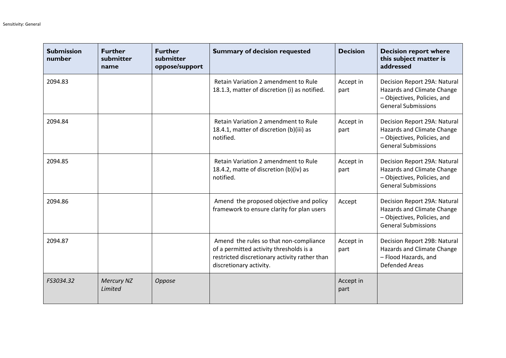| <b>Submission</b><br>number | <b>Further</b><br>submitter<br>name | <b>Further</b><br>submitter<br>oppose/support | <b>Summary of decision requested</b>                                                                                                                          | <b>Decision</b>   | <b>Decision report where</b><br>this subject matter is<br>addressed                                                     |
|-----------------------------|-------------------------------------|-----------------------------------------------|---------------------------------------------------------------------------------------------------------------------------------------------------------------|-------------------|-------------------------------------------------------------------------------------------------------------------------|
| 2094.83                     |                                     |                                               | Retain Variation 2 amendment to Rule<br>18.1.3, matter of discretion (i) as notified.                                                                         | Accept in<br>part | Decision Report 29A: Natural<br>Hazards and Climate Change<br>- Objectives, Policies, and<br><b>General Submissions</b> |
| 2094.84                     |                                     |                                               | Retain Variation 2 amendment to Rule<br>18.4.1, matter of discretion (b)(iii) as<br>notified.                                                                 | Accept in<br>part | Decision Report 29A: Natural<br>Hazards and Climate Change<br>- Objectives, Policies, and<br><b>General Submissions</b> |
| 2094.85                     |                                     |                                               | Retain Variation 2 amendment to Rule<br>18.4.2, matte of discretion (b)(iv) as<br>notified.                                                                   | Accept in<br>part | Decision Report 29A: Natural<br>Hazards and Climate Change<br>- Objectives, Policies, and<br><b>General Submissions</b> |
| 2094.86                     |                                     |                                               | Amend the proposed objective and policy<br>framework to ensure clarity for plan users                                                                         | Accept            | Decision Report 29A: Natural<br>Hazards and Climate Change<br>- Objectives, Policies, and<br><b>General Submissions</b> |
| 2094.87                     |                                     |                                               | Amend the rules so that non-compliance<br>of a permitted activity thresholds is a<br>restricted discretionary activity rather than<br>discretionary activity. | Accept in<br>part | Decision Report 29B: Natural<br>Hazards and Climate Change<br>- Flood Hazards, and<br><b>Defended Areas</b>             |
| FS3034.32                   | <b>Mercury NZ</b><br>Limited        | Oppose                                        |                                                                                                                                                               | Accept in<br>part |                                                                                                                         |